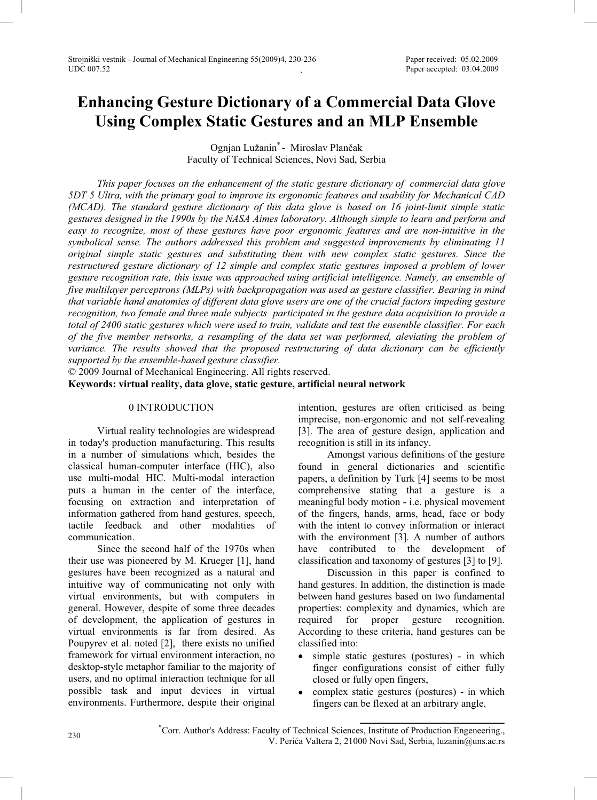# **Enhancing Gesture Dictionary of a Commercial Data Glove Using Complex Static Gestures and an MLP Ensemble**

Ognian Lužanin<sup>\*</sup> - Miroslav Plančak Faculty of Technical Sciences, Novi Sad, Serbia

*This paper focuses on the enhancement of the static gesture dictionary of commercial data glove 5DT 5 Ultra, with the primary goal to improve its ergonomic features and usability for Mechanical CAD (MCAD). The standard gesture dictionary of this data glove is based on 16 joint-limit simple static gestures designed in the 1990s by the NASA Aimes laboratory. Although simple to learn and perform and easy to recognize, most of these gestures have poor ergonomic features and are non-intuitive in the symbolical sense. The authors addressed this problem and suggested improvements by eliminating 11 original simple static gestures and substituting them with new complex static gestures. Since the*  restructured gesture dictionary of 12 simple and complex static gestures imposed a problem of lower *gesture recognition rate, this issue was approached using artificial intelligence. Namely, an ensemble of five multilayer perceptrons (MLPs) with backpropagation was used as gesture classifier. Bearing in mind that variable hand anatomies of different data glove users are one of the crucial factors impeding gesture recognition, two female and three male subjects participated in the gesture data acquisition to provide a total of 2400 static gestures which were used to train, validate and test the ensemble classifier. For each of the five member networks, a resampling of the data set was performed, aleviating the problem of variance. The results showed that the proposed restructuring of data dictionary can be efficiently supported by the ensemble-based gesture classifier.* 

© 2009 Journal of Mechanical Engineering. All rights reserved.

**Keywords: virtual reality, data glove, static gesture, artificial neural network** 

## 0 INTRODUCTION

Virtual reality technologies are widespread in today's production manufacturing. This results in a number of simulations which, besides the classical human-computer interface (HIC), also use multi-modal HIC. Multi-modal interaction puts a human in the center of the interface, focusing on extraction and interpretation of information gathered from hand gestures, speech, tactile feedback and other modalities of communication.

Since the second half of the 1970s when their use was pioneered by M. Krueger [1], hand gestures have been recognized as a natural and intuitive way of communicating not only with virtual environments, but with computers in general. However, despite of some three decades of development, the application of gestures in virtual environments is far from desired. As Poupyrev et al. noted [2], there exists no unified framework for virtual environment interaction, no desktop-style metaphor familiar to the majority of users, and no optimal interaction technique for all possible task and input devices in virtual environments. Furthermore, despite their original

intention, gestures are often criticised as being imprecise, non-ergonomic and not self-revealing [3]. The area of gesture design, application and recognition is still in its infancy.

Amongst various definitions of the gesture found in general dictionaries and scientific papers, a definition by Turk [4] seems to be most comprehensive stating that a gesture is a meaningful body motion - i.e. physical movement of the fingers, hands, arms, head, face or body with the intent to convey information or interact with the environment [3]. A number of authors have contributed to the development of classification and taxonomy of gestures [3] to [9].

Discussion in this paper is confined to hand gestures. In addition, the distinction is made between hand gestures based on two fundamental properties: complexity and dynamics, which are required for proper gesture recognition. According to these criteria, hand gestures can be classified into:

- simple static gestures (postures) in which finger configurations consist of either fully closed or fully open fingers,
- $\bullet$  complex static gestures (postures) in which fingers can be flexed at an arbitrary angle,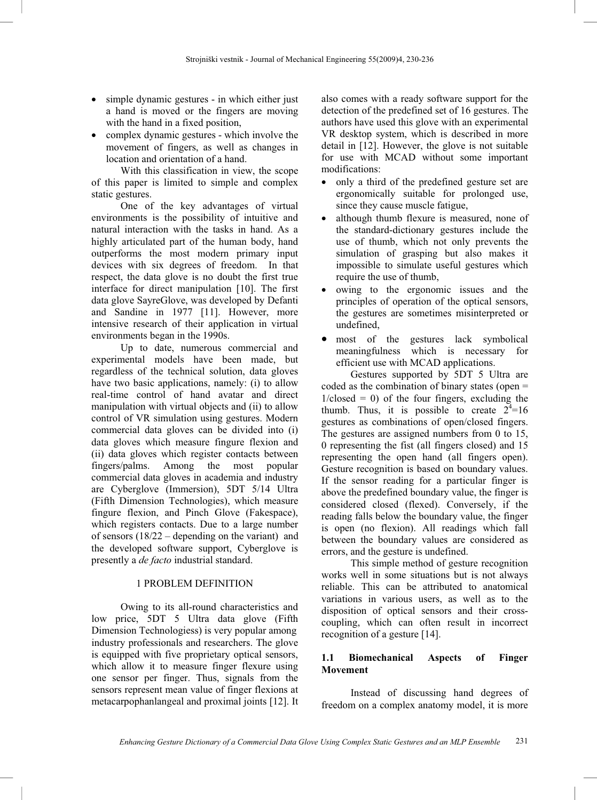- $\bullet$  simple dynamic gestures in which either just a hand is moved or the fingers are moving with the hand in a fixed position,
- complex dynamic gestures which involve the movement of fingers, as well as changes in location and orientation of a hand.

With this classification in view, the scope of this paper is limited to simple and complex static gestures.

One of the key advantages of virtual environments is the possibility of intuitive and natural interaction with the tasks in hand. As a highly articulated part of the human body, hand outperforms the most modern primary input devices with six degrees of freedom. In that respect, the data glove is no doubt the first true interface for direct manipulation [10]. The first data glove SayreGlove, was developed by Defanti and Sandine in 1977 [11]. However, more intensive research of their application in virtual environments began in the 1990s.

Up to date, numerous commercial and experimental models have been made, but regardless of the technical solution, data gloves have two basic applications, namely: (i) to allow real-time control of hand avatar and direct manipulation with virtual objects and (ii) to allow control of VR simulation using gestures. Modern commercial data gloves can be divided into (i) data gloves which measure fingure flexion and (ii) data gloves which register contacts between fingers/palms. Among the most popular commercial data gloves in academia and industry are Cyberglove (Immersion), 5DT 5/14 Ultra (Fifth Dimension Technologies), which measure fingure flexion, and Pinch Glove (Fakespace), which registers contacts. Due to a large number of sensors (18/22 – depending on the variant) and the developed software support, Cyberglove is presently a *de facto* industrial standard.

### 1 PROBLEM DEFINITION

Owing to its all-round characteristics and low price, 5DT 5 Ultra data glove (Fifth Dimension Technologiess) is very popular among industry professionals and researchers. The glove is equipped with five proprietary optical sensors, which allow it to measure finger flexure using one sensor per finger. Thus, signals from the sensors represent mean value of finger flexions at metacarpophanlangeal and proximal joints [12]. It also comes with a ready software support for the detection of the predefined set of 16 gestures. The authors have used this glove with an experimental VR desktop system, which is described in more detail in [12]. However, the glove is not suitable for use with MCAD without some important modifications:

- only a third of the predefined gesture set are ergonomically suitable for prolonged use, since they cause muscle fatigue,
- although thumb flexure is measured, none of the standard-dictionary gestures include the use of thumb, which not only prevents the simulation of grasping but also makes it impossible to simulate useful gestures which require the use of thumb,
- owing to the ergonomic issues and the principles of operation of the optical sensors, the gestures are sometimes misinterpreted or undefined,
- most of the gestures lack symbolical meaningfulness which is necessary for efficient use with MCAD applications.

Gestures supported by 5DT 5 Ultra are coded as the combination of binary states (open =  $1$ /closed = 0) of the four fingers, excluding the thumb. Thus, it is possible to create  $2^4=16$ gestures as combinations of open/closed fingers. The gestures are assigned numbers from 0 to 15, 0 representing the fist (all fingers closed) and 15 representing the open hand (all fingers open). Gesture recognition is based on boundary values. If the sensor reading for a particular finger is above the predefined boundary value, the finger is considered closed (flexed). Conversely, if the reading falls below the boundary value, the finger is open (no flexion). All readings which fall between the boundary values are considered as errors, and the gesture is undefined.

This simple method of gesture recognition works well in some situations but is not always reliable. This can be attributed to anatomical variations in various users, as well as to the disposition of optical sensors and their crosscoupling, which can often result in incorrect recognition of a gesture [14].

# **1.1 Biomechanical Aspects of Finger Movement**

Instead of discussing hand degrees of freedom on a complex anatomy model, it is more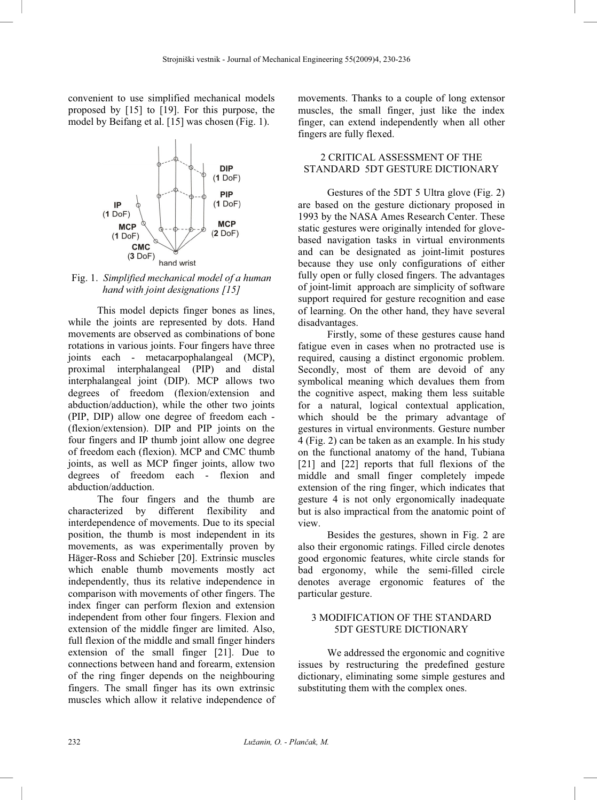convenient to use simplified mechanical models proposed by [15] to [19]. For this purpose, the model by Beifang et al. [15] was chosen (Fig. 1).



Fig. 1. *Simplified mechanical model of a human hand with joint designations [15]*

This model depicts finger bones as lines, while the joints are represented by dots. Hand movements are observed as combinations of bone rotations in various joints. Four fingers have three joints each - metacarpophalangeal (MCP), proximal interphalangeal (PIP) and distal interphalangeal joint (DIP). MCP allows two degrees of freedom (flexion/extension and abduction/adduction), while the other two joints (PIP, DIP) allow one degree of freedom each - (flexion/extension). DIP and PIP joints on the four fingers and IP thumb joint allow one degree of freedom each (flexion). MCP and CMC thumb joints, as well as MCP finger joints, allow two degrees of freedom each - flexion and abduction/adduction.

The four fingers and the thumb are characterized by different flexibility and interdependence of movements. Due to its special position, the thumb is most independent in its movements, as was experimentally proven by Häger-Ross and Schieber [20]. Extrinsic muscles which enable thumb movements mostly act independently, thus its relative independence in comparison with movements of other fingers. The index finger can perform flexion and extension independent from other four fingers. Flexion and extension of the middle finger are limited. Also, full flexion of the middle and small finger hinders extension of the small finger [21]. Due to connections between hand and forearm, extension of the ring finger depends on the neighbouring fingers. The small finger has its own extrinsic muscles which allow it relative independence of

movements. Thanks to a couple of long extensor muscles, the small finger, just like the index finger, can extend independently when all other fingers are fully flexed.

# 2 CRITICAL ASSESSMENT OF THE STANDARD 5DT GESTURE DICTIONARY

Gestures of the 5DT 5 Ultra glove (Fig. 2) are based on the gesture dictionary proposed in 1993 by the NASA Ames Research Center. These static gestures were originally intended for glovebased navigation tasks in virtual environments and can be designated as joint-limit postures because they use only configurations of either fully open or fully closed fingers. The advantages of joint-limit approach are simplicity of software support required for gesture recognition and ease of learning. On the other hand, they have several disadvantages.

Firstly, some of these gestures cause hand fatigue even in cases when no protracted use is required, causing a distinct ergonomic problem. Secondly, most of them are devoid of any symbolical meaning which devalues them from the cognitive aspect, making them less suitable for a natural, logical contextual application, which should be the primary advantage of gestures in virtual environments. Gesture number 4 (Fig. 2) can be taken as an example. In his study on the functional anatomy of the hand, Tubiana [21] and [22] reports that full flexions of the middle and small finger completely impede extension of the ring finger, which indicates that gesture 4 is not only ergonomically inadequate but is also impractical from the anatomic point of view.

Besides the gestures, shown in Fig. 2 are also their ergonomic ratings. Filled circle denotes good ergonomic features, white circle stands for bad ergonomy, while the semi-filled circle denotes average ergonomic features of the particular gesture.

## 3 MODIFICATION OF THE STANDARD 5DT GESTURE DICTIONARY

We addressed the ergonomic and cognitive issues by restructuring the predefined gesture dictionary, eliminating some simple gestures and substituting them with the complex ones.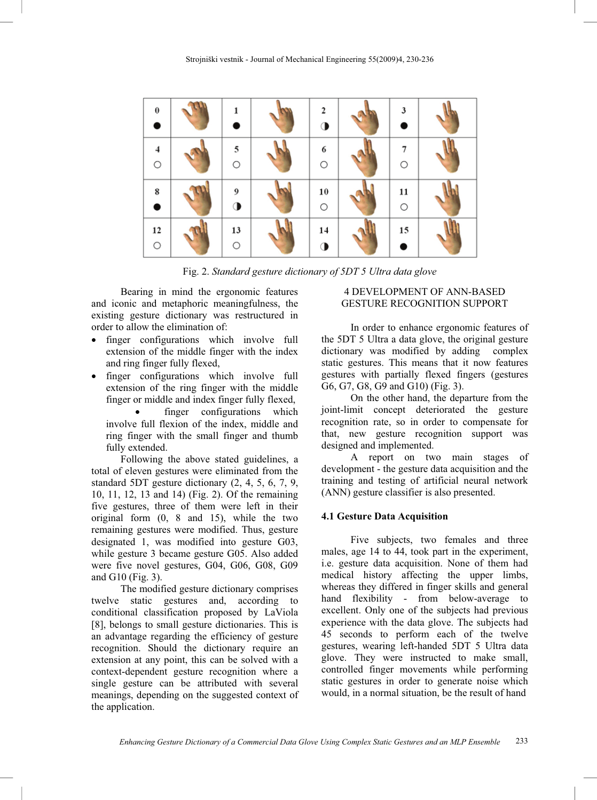| $\bf{0}$<br>$\bullet$ |         | $\mathbf{2}$<br>◑        | 3             |  |
|-----------------------|---------|--------------------------|---------------|--|
| 4<br>$\bigcirc$       | 5<br>O  | 6<br>$\circ$             | О             |  |
| 8                     | 9       | ${\bf 10}$<br>$\bigcirc$ | 11<br>$\circ$ |  |
| 12<br>$\bigcirc$      | 13<br>O | 14<br>Œ                  | 15            |  |

Fig. 2. *Standard gesture dictionary of 5DT 5 Ultra data glove*

Bearing in mind the ergonomic features and iconic and metaphoric meaningfulness, the existing gesture dictionary was restructured in order to allow the elimination of:

- finger configurations which involve full extension of the middle finger with the index and ring finger fully flexed,
- finger configurations which involve full extension of the ring finger with the middle finger or middle and index finger fully flexed,

finger configurations which involve full flexion of the index, middle and ring finger with the small finger and thumb fully extended.

Following the above stated guidelines, a total of eleven gestures were eliminated from the standard 5DT gesture dictionary (2, 4, 5, 6, 7, 9, 10, 11, 12, 13 and 14) (Fig. 2). Of the remaining five gestures, three of them were left in their original form (0, 8 and 15), while the two remaining gestures were modified. Thus, gesture designated 1, was modified into gesture G03, while gesture 3 became gesture G05. Also added were five novel gestures, G04, G06, G08, G09 and G10 (Fig. 3).

The modified gesture dictionary comprises twelve static gestures and, according to conditional classification proposed by LaViola [8], belongs to small gesture dictionaries. This is an advantage regarding the efficiency of gesture recognition. Should the dictionary require an extension at any point, this can be solved with a context-dependent gesture recognition where a single gesture can be attributed with several meanings, depending on the suggested context of the application.

## 4 DEVELOPMENT OF ANN-BASED GESTURE RECOGNITION SUPPORT

In order to enhance ergonomic features of the 5DT 5 Ultra a data glove, the original gesture dictionary was modified by adding complex static gestures. This means that it now features gestures with partially flexed fingers (gestures G6, G7, G8, G9 and G10) (Fig. 3).

On the other hand, the departure from the joint-limit concept deteriorated the gesture recognition rate, so in order to compensate for that, new gesture recognition support was designed and implemented.

A report on two main stages of development - the gesture data acquisition and the training and testing of artificial neural network (ANN) gesture classifier is also presented.

### **4.1 Gesture Data Acquisition**

Five subjects, two females and three males, age 14 to 44, took part in the experiment, i.e. gesture data acquisition. None of them had medical history affecting the upper limbs, whereas they differed in finger skills and general hand flexibility - from below-average to excellent. Only one of the subjects had previous experience with the data glove. The subjects had 45 seconds to perform each of the twelve gestures, wearing left-handed 5DT 5 Ultra data glove. They were instructed to make small, controlled finger movements while performing static gestures in order to generate noise which would, in a normal situation, be the result of hand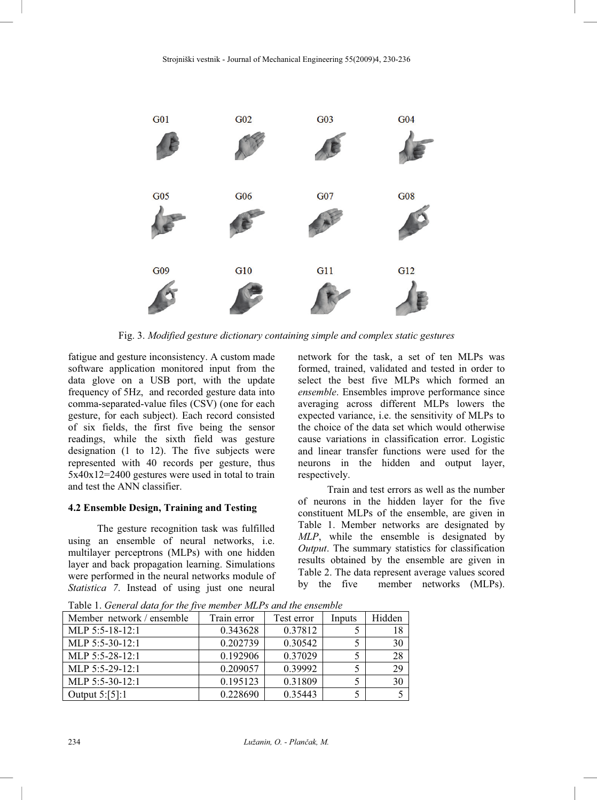

Fig. 3. *Modified gesture dictionary containing simple and complex static gestures* 

fatigue and gesture inconsistency. A custom made software application monitored input from the data glove on a USB port, with the update frequency of 5Hz, and recorded gesture data into comma-separated-value files (CSV) (one for each gesture, for each subject). Each record consisted of six fields, the first five being the sensor readings, while the sixth field was gesture designation (1 to 12). The five subjects were represented with 40 records per gesture, thus 5x40x12=2400 gestures were used in total to train and test the ANN classifier.

### **4.2 Ensemble Design, Training and Testing**

The gesture recognition task was fulfilled using an ensemble of neural networks, i.e. multilayer perceptrons (MLPs) with one hidden layer and back propagation learning. Simulations were performed in the neural networks module of *Statistica 7*. Instead of using just one neural

network for the task, a set of ten MLPs was formed, trained, validated and tested in order to select the best five MLPs which formed an *ensemble*. Ensembles improve performance since averaging across different MLPs lowers the expected variance, i.e. the sensitivity of MLPs to the choice of the data set which would otherwise cause variations in classification error. Logistic and linear transfer functions were used for the neurons in the hidden and output layer, respectively.

Train and test errors as well as the number of neurons in the hidden layer for the five constituent MLPs of the ensemble, are given in Table 1. Member networks are designated by *MLP*, while the ensemble is designated by *Output*. The summary statistics for classification results obtained by the ensemble are given in Table 2. The data represent average values scored by the five member networks (MLPs).

| Member network / ensemble | Train error | Test error | Inputs | Hidden |  |
|---------------------------|-------------|------------|--------|--------|--|
| MLP $5:5-18-12:1$         | 0.343628    | 0.37812    |        |        |  |
| MLP 5:5-30-12:1           | 0.202739    | 0.30542    |        | 30     |  |
| MLP 5:5-28-12:1           | 0.192906    | 0.37029    |        | 28     |  |
| MLP 5:5-29-12:1           | 0.209057    | 0.39992    |        | 29     |  |
| MLP 5:5-30-12:1           | 0.195123    | 0.31809    |        | 30     |  |
| Output $5:[5]:1$          | 0.228690    | 0.35443    |        |        |  |

Table 1. *General data for the five member MLPs and the ensemble*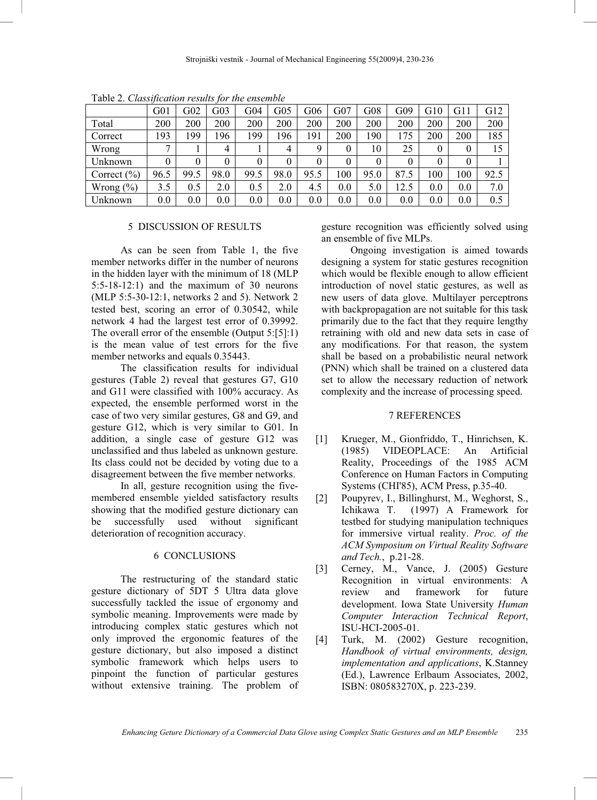|                 | G <sub>01</sub> | G02  | 303  | G04  | $G_{05}$ | G06  | G07 | G08  | G09  | G10      | G11 | G12  |
|-----------------|-----------------|------|------|------|----------|------|-----|------|------|----------|-----|------|
| Total           | 200             | 200  | 200  | 200  | 200      | 200  | 200 | 200  | 200  | 200      | 200 | 200  |
| Correct         | 193             | 199  | 196  | 199  | 196      | 191  | 200 | 190  | 175  | 200      | 200 | 185  |
| Wrong           | $\overline{ }$  |      | 4    |      | 4        | 9    | 0   | 10   | 25   | $\theta$ | 0   | 15   |
| Unknown         | 0               |      |      | 0    | 0        | 0    | 0   | 0    | 0    | $\theta$ | 0   |      |
| Correct $(\% )$ | 96.5            | 99.5 | 98.0 | 99.5 | 98.0     | 95.5 | 100 | 95.0 | 87.5 | 100      | 100 | 92.5 |
| Wrong $(\% )$   | 3.5             | 0.5  | 2.0  | 0.5  | 2.0      | 4.5  | 0.0 | 5.0  | 12.5 | 0.0      | 0.0 | 7.0  |
| Unknown         | 0.0             | 0.0  | 0.0  | 0.0  | 0.0      | 0.0  | 0.0 | 0.0  | 0.0  | 0.0      | 0.0 | 0.5  |

Table 2. *Classification results for the ensemble* 

#### 5 DISCUSSION OF RESULTS

As can be seen from Table 1, the five member networks differ in the number of neurons in the hidden layer with the minimum of 18 (MLP 5:5-18-12:1) and the maximum of 30 neurons (MLP 5:5-30-12:1, networks 2 and 5). Network 2 tested best, scoring an error of 0.30542, while network 4 had the largest test error of 0.39992. The overall error of the ensemble (Output 5:[5]:1) is the mean value of test errors for the five member networks and equals 0.35443.

The classification results for individual gestures (Table 2) reveal that gestures G7, G10 and G11 were classified with 100% accuracy. As expected, the ensemble performed worst in the case of two very similar gestures, G8 and G9, and gesture G12, which is very similar to G01. In addition, a single case of gesture G12 was unclassified and thus labeled as unknown gesture. Its class could not be decided by voting due to a disagreement between the five member networks.

In all, gesture recognition using the fivemembered ensemble yielded satisfactory results showing that the modified gesture dictionary can be successfully used without significant deterioration of recognition accuracy.

## 6 CONCLUSIONS

The restructuring of the standard static gesture dictionary of 5DT 5 Ultra data glove successfully tackled the issue of ergonomy and symbolic meaning. Improvements were made by introducing complex static gestures which not only improved the ergonomic features of the gesture dictionary, but also imposed a distinct symbolic framework which helps users to pinpoint the function of particular gestures without extensive training. The problem of gesture recognition was efficiently solved using an ensemble of five MLPs.

Ongoing investigation is aimed towards designing a system for static gestures recognition which would be flexible enough to allow efficient introduction of novel static gestures, as well as new users of data glove. Multilayer perceptrons with backpropagation are not suitable for this task primarily due to the fact that they require lengthy retraining with old and new data sets in case of any modifications. For that reason, the system shall be based on a probabilistic neural network (PNN) which shall be trained on a clustered data set to allow the necessary reduction of network complexity and the increase of processing speed.

#### 7 REFERENCES

- [1] Krueger, M., Gionfriddo, T., Hinrichsen, K. (1985) VIDEOPLACE: An Artificial Reality, Proceedings of the 1985 ACM Conference on Human Factors in Computing Systems (CHI'85), ACM Press, p.35-40.
- [2] Poupyrev, I., Billinghurst, M., Weghorst, S., Ichikawa T. (1997) A Framework for testbed for studying manipulation techniques for immersive virtual reality. *Proc. of the ACM Symposium on Virtual Reality Software and Tech.*, p.21-28.
- [3] Cerney, M., Vance, J. (2005) Gesture Recognition in virtual environments: A review and framework for future development. Iowa State University *Human Computer Interaction Technical Report*, ISU-HCI-2005-01.
- [4] Turk, M. (2002) Gesture recognition, *Handbook of virtual environments, design, implementation and applications*, K.Stanney (Ed.), Lawrence Erlbaum Associates, 2002, ISBN: 080583270X, p. 223-239.